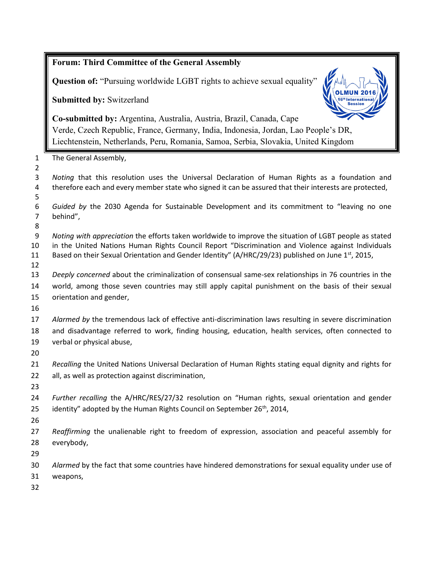|                                | <b>Forum: Third Committee of the General Assembly</b>                                                                                                                                                                                                                                                             |  |  |
|--------------------------------|-------------------------------------------------------------------------------------------------------------------------------------------------------------------------------------------------------------------------------------------------------------------------------------------------------------------|--|--|
|                                | Question of: "Pursuing worldwide LGBT rights to achieve sexual equality"                                                                                                                                                                                                                                          |  |  |
|                                | Submitted by: Switzerland                                                                                                                                                                                                                                                                                         |  |  |
|                                | Co-submitted by: Argentina, Australia, Austria, Brazil, Canada, Cape<br>Verde, Czech Republic, France, Germany, India, Indonesia, Jordan, Lao People's DR,<br>Liechtenstein, Netherlands, Peru, Romania, Samoa, Serbia, Slovakia, United Kingdom                                                                  |  |  |
| $\mathbf{1}$<br>$\overline{2}$ | The General Assembly,                                                                                                                                                                                                                                                                                             |  |  |
| 3<br>4<br>5                    | Noting that this resolution uses the Universal Declaration of Human Rights as a foundation and<br>therefore each and every member state who signed it can be assured that their interests are protected,                                                                                                          |  |  |
| 6<br>7<br>8                    | Guided by the 2030 Agenda for Sustainable Development and its commitment to "leaving no one<br>behind",                                                                                                                                                                                                           |  |  |
| 9<br>10<br>11<br>12            | Noting with appreciation the efforts taken worldwide to improve the situation of LGBT people as stated<br>in the United Nations Human Rights Council Report "Discrimination and Violence against Individuals<br>Based on their Sexual Orientation and Gender Identity" (A/HRC/29/23) published on June 1st, 2015, |  |  |
| 13<br>14<br>15<br>16           | Deeply concerned about the criminalization of consensual same-sex relationships in 76 countries in the<br>world, among those seven countries may still apply capital punishment on the basis of their sexual<br>orientation and gender,                                                                           |  |  |
| 17<br>18<br>19<br>20           | Alarmed by the tremendous lack of effective anti-discrimination laws resulting in severe discrimination<br>and disadvantage referred to work, finding housing, education, health services, often connected to<br>verbal or physical abuse,                                                                        |  |  |
| 21<br>22<br>23                 | Recalling the United Nations Universal Declaration of Human Rights stating equal dignity and rights for<br>all, as well as protection against discrimination,                                                                                                                                                     |  |  |
| 24<br>25<br>26                 | Further recalling the A/HRC/RES/27/32 resolution on "Human rights, sexual orientation and gender<br>identity" adopted by the Human Rights Council on September 26 <sup>th</sup> , 2014,                                                                                                                           |  |  |
| 27<br>28<br>29                 | Reaffirming the unalienable right to freedom of expression, association and peaceful assembly for<br>everybody,                                                                                                                                                                                                   |  |  |
| 30<br>31<br>32                 | Alarmed by the fact that some countries have hindered demonstrations for sexual equality under use of<br>weapons,                                                                                                                                                                                                 |  |  |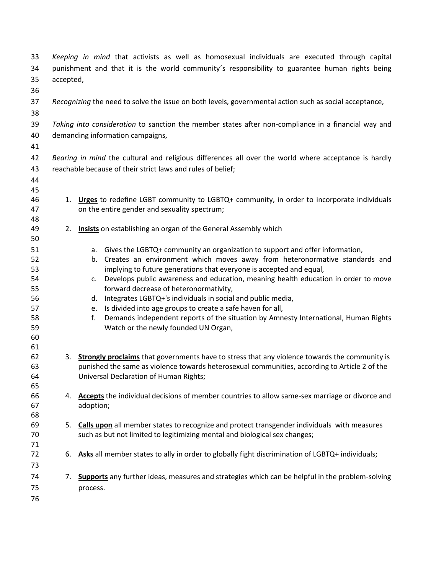| 33<br>34 | Keeping in mind that activists as well as homosexual individuals are executed through capital<br>punishment and that it is the world community's responsibility to guarantee human rights being |                                                                                                    |  |
|----------|-------------------------------------------------------------------------------------------------------------------------------------------------------------------------------------------------|----------------------------------------------------------------------------------------------------|--|
| 35       | accepted,                                                                                                                                                                                       |                                                                                                    |  |
| 36       |                                                                                                                                                                                                 |                                                                                                    |  |
| 37       | Recognizing the need to solve the issue on both levels, governmental action such as social acceptance,                                                                                          |                                                                                                    |  |
| 38       |                                                                                                                                                                                                 |                                                                                                    |  |
| 39       | Taking into consideration to sanction the member states after non-compliance in a financial way and                                                                                             |                                                                                                    |  |
| 40       | demanding information campaigns,                                                                                                                                                                |                                                                                                    |  |
| 41       |                                                                                                                                                                                                 |                                                                                                    |  |
| 42       | Bearing in mind the cultural and religious differences all over the world where acceptance is hardly                                                                                            |                                                                                                    |  |
| 43       | reachable because of their strict laws and rules of belief;                                                                                                                                     |                                                                                                    |  |
|          |                                                                                                                                                                                                 |                                                                                                    |  |
| 44<br>45 |                                                                                                                                                                                                 |                                                                                                    |  |
| 46       |                                                                                                                                                                                                 | 1. Urges to redefine LGBT community to LGBTQ+ community, in order to incorporate individuals       |  |
| 47       |                                                                                                                                                                                                 | on the entire gender and sexuality spectrum;                                                       |  |
| 48       |                                                                                                                                                                                                 |                                                                                                    |  |
| 49       | 2.                                                                                                                                                                                              | <b>Insists</b> on establishing an organ of the General Assembly which                              |  |
| 50       |                                                                                                                                                                                                 |                                                                                                    |  |
| 51       |                                                                                                                                                                                                 | a. Gives the LGBTQ+ community an organization to support and offer information,                    |  |
| 52       |                                                                                                                                                                                                 | b. Creates an environment which moves away from heteronormative standards and                      |  |
| 53       |                                                                                                                                                                                                 | implying to future generations that everyone is accepted and equal,                                |  |
| 54       |                                                                                                                                                                                                 | c. Develops public awareness and education, meaning health education in order to move              |  |
| 55       |                                                                                                                                                                                                 | forward decrease of heteronormativity,                                                             |  |
| 56       |                                                                                                                                                                                                 | d. Integrates LGBTQ+'s individuals in social and public media,                                     |  |
| 57       |                                                                                                                                                                                                 | e. Is divided into age groups to create a safe haven for all,                                      |  |
| 58       |                                                                                                                                                                                                 | Demands independent reports of the situation by Amnesty International, Human Rights<br>f.          |  |
| 59       |                                                                                                                                                                                                 | Watch or the newly founded UN Organ,                                                               |  |
| 60       |                                                                                                                                                                                                 |                                                                                                    |  |
| 61       |                                                                                                                                                                                                 |                                                                                                    |  |
| 62       |                                                                                                                                                                                                 | 3. Strongly proclaims that governments have to stress that any violence towards the community is   |  |
| 63       |                                                                                                                                                                                                 | punished the same as violence towards heterosexual communities, according to Article 2 of the      |  |
| 64       |                                                                                                                                                                                                 | Universal Declaration of Human Rights;                                                             |  |
| 65<br>66 | 4.                                                                                                                                                                                              | Accepts the individual decisions of member countries to allow same-sex marriage or divorce and     |  |
| 67       |                                                                                                                                                                                                 | adoption;                                                                                          |  |
| 68       |                                                                                                                                                                                                 |                                                                                                    |  |
| 69       | 5.                                                                                                                                                                                              | <b>Calls upon</b> all member states to recognize and protect transgender individuals with measures |  |
| 70       |                                                                                                                                                                                                 | such as but not limited to legitimizing mental and biological sex changes;                         |  |
| 71       |                                                                                                                                                                                                 |                                                                                                    |  |
| 72       | 6.                                                                                                                                                                                              | Asks all member states to ally in order to globally fight discrimination of LGBTQ+ individuals;    |  |
| 73       |                                                                                                                                                                                                 |                                                                                                    |  |
| 74       | 7.                                                                                                                                                                                              | Supports any further ideas, measures and strategies which can be helpful in the problem-solving    |  |
| 75       |                                                                                                                                                                                                 | process.                                                                                           |  |
| 76       |                                                                                                                                                                                                 |                                                                                                    |  |
|          |                                                                                                                                                                                                 |                                                                                                    |  |